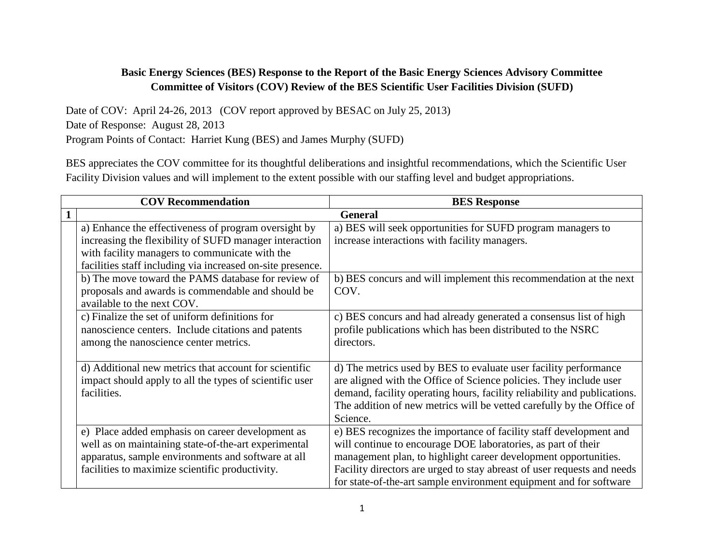## **Basic Energy Sciences (BES) Response to the Report of the Basic Energy Sciences Advisory Committee Committee of Visitors (COV) Review of the BES Scientific User Facilities Division (SUFD)**

Date of COV: April 24-26, 2013 (COV report approved by BESAC on July 25, 2013) Date of Response: August 28, 2013 Program Points of Contact: Harriet Kung (BES) and James Murphy (SUFD)

BES appreciates the COV committee for its thoughtful deliberations and insightful recommendations, which the Scientific User Facility Division values and will implement to the extent possible with our staffing level and budget appropriations.

| <b>COV Recommendation</b>                                  | <b>BES</b> Response                                                      |
|------------------------------------------------------------|--------------------------------------------------------------------------|
|                                                            | <b>General</b>                                                           |
| a) Enhance the effectiveness of program oversight by       | a) BES will seek opportunities for SUFD program managers to              |
| increasing the flexibility of SUFD manager interaction     | increase interactions with facility managers.                            |
| with facility managers to communicate with the             |                                                                          |
| facilities staff including via increased on-site presence. |                                                                          |
| b) The move toward the PAMS database for review of         | b) BES concurs and will implement this recommendation at the next        |
| proposals and awards is commendable and should be          | COV.                                                                     |
| available to the next COV.                                 |                                                                          |
| c) Finalize the set of uniform definitions for             | c) BES concurs and had already generated a consensus list of high        |
| nanoscience centers. Include citations and patents         | profile publications which has been distributed to the NSRC              |
| among the nanoscience center metrics.                      | directors.                                                               |
|                                                            |                                                                          |
| d) Additional new metrics that account for scientific      | d) The metrics used by BES to evaluate user facility performance         |
| impact should apply to all the types of scientific user    | are aligned with the Office of Science policies. They include user       |
| facilities.                                                | demand, facility operating hours, facility reliability and publications. |
|                                                            | The addition of new metrics will be vetted carefully by the Office of    |
|                                                            | Science.                                                                 |
| e) Place added emphasis on career development as           | e) BES recognizes the importance of facility staff development and       |
| well as on maintaining state-of-the-art experimental       | will continue to encourage DOE laboratories, as part of their            |
| apparatus, sample environments and software at all         | management plan, to highlight career development opportunities.          |
| facilities to maximize scientific productivity.            | Facility directors are urged to stay abreast of user requests and needs  |
|                                                            | for state-of-the-art sample environment equipment and for software       |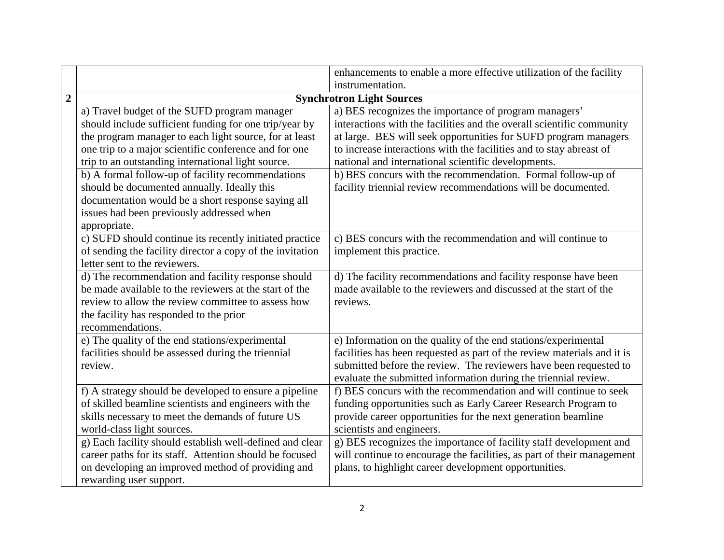|                  |                                                           | enhancements to enable a more effective utilization of the facility     |
|------------------|-----------------------------------------------------------|-------------------------------------------------------------------------|
|                  |                                                           | instrumentation.                                                        |
| $\boldsymbol{2}$ |                                                           | <b>Synchrotron Light Sources</b>                                        |
|                  | a) Travel budget of the SUFD program manager              | a) BES recognizes the importance of program managers'                   |
|                  | should include sufficient funding for one trip/year by    | interactions with the facilities and the overall scientific community   |
|                  | the program manager to each light source, for at least    | at large. BES will seek opportunities for SUFD program managers         |
|                  | one trip to a major scientific conference and for one     | to increase interactions with the facilities and to stay abreast of     |
|                  | trip to an outstanding international light source.        | national and international scientific developments.                     |
|                  | b) A formal follow-up of facility recommendations         | b) BES concurs with the recommendation. Formal follow-up of             |
|                  | should be documented annually. Ideally this               | facility triennial review recommendations will be documented.           |
|                  | documentation would be a short response saying all        |                                                                         |
|                  | issues had been previously addressed when                 |                                                                         |
|                  | appropriate.                                              |                                                                         |
|                  | c) SUFD should continue its recently initiated practice   | c) BES concurs with the recommendation and will continue to             |
|                  | of sending the facility director a copy of the invitation | implement this practice.                                                |
|                  | letter sent to the reviewers.                             |                                                                         |
|                  | d) The recommendation and facility response should        | d) The facility recommendations and facility response have been         |
|                  | be made available to the reviewers at the start of the    | made available to the reviewers and discussed at the start of the       |
|                  | review to allow the review committee to assess how        | reviews.                                                                |
|                  | the facility has responded to the prior                   |                                                                         |
|                  | recommendations.                                          |                                                                         |
|                  | e) The quality of the end stations/experimental           | e) Information on the quality of the end stations/experimental          |
|                  | facilities should be assessed during the triennial        | facilities has been requested as part of the review materials and it is |
|                  | review.                                                   | submitted before the review. The reviewers have been requested to       |
|                  |                                                           | evaluate the submitted information during the triennial review.         |
|                  | f) A strategy should be developed to ensure a pipeline    | f) BES concurs with the recommendation and will continue to seek        |
|                  | of skilled beamline scientists and engineers with the     | funding opportunities such as Early Career Research Program to          |
|                  | skills necessary to meet the demands of future US         | provide career opportunities for the next generation beamline           |
|                  | world-class light sources.                                | scientists and engineers.                                               |
|                  | g) Each facility should establish well-defined and clear  | g) BES recognizes the importance of facility staff development and      |
|                  | career paths for its staff. Attention should be focused   | will continue to encourage the facilities, as part of their management  |
|                  | on developing an improved method of providing and         | plans, to highlight career development opportunities.                   |
|                  | rewarding user support.                                   |                                                                         |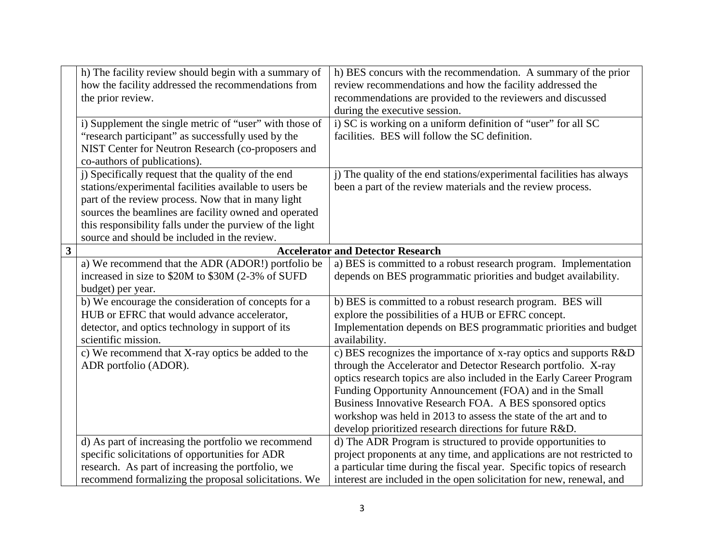|              | h) The facility review should begin with a summary of<br>how the facility addressed the recommendations from<br>the prior review.                                                                                                                                                                                                        | h) BES concurs with the recommendation. A summary of the prior<br>review recommendations and how the facility addressed the<br>recommendations are provided to the reviewers and discussed<br>during the executive session.                                                                                                                                                                                                                                      |
|--------------|------------------------------------------------------------------------------------------------------------------------------------------------------------------------------------------------------------------------------------------------------------------------------------------------------------------------------------------|------------------------------------------------------------------------------------------------------------------------------------------------------------------------------------------------------------------------------------------------------------------------------------------------------------------------------------------------------------------------------------------------------------------------------------------------------------------|
|              | i) Supplement the single metric of "user" with those of<br>"research participant" as successfully used by the<br>NIST Center for Neutron Research (co-proposers and<br>co-authors of publications).                                                                                                                                      | i) SC is working on a uniform definition of "user" for all SC<br>facilities. BES will follow the SC definition.                                                                                                                                                                                                                                                                                                                                                  |
|              | i) Specifically request that the quality of the end<br>stations/experimental facilities available to users be<br>part of the review process. Now that in many light<br>sources the beamlines are facility owned and operated<br>this responsibility falls under the purview of the light<br>source and should be included in the review. | j) The quality of the end stations/experimental facilities has always<br>been a part of the review materials and the review process.                                                                                                                                                                                                                                                                                                                             |
| $\mathbf{3}$ |                                                                                                                                                                                                                                                                                                                                          | <b>Accelerator and Detector Research</b>                                                                                                                                                                                                                                                                                                                                                                                                                         |
|              | a) We recommend that the ADR (ADOR!) portfolio be<br>increased in size to \$20M to \$30M (2-3% of SUFD<br>budget) per year.                                                                                                                                                                                                              | a) BES is committed to a robust research program. Implementation<br>depends on BES programmatic priorities and budget availability.                                                                                                                                                                                                                                                                                                                              |
|              | b) We encourage the consideration of concepts for a<br>HUB or EFRC that would advance accelerator,<br>detector, and optics technology in support of its<br>scientific mission.                                                                                                                                                           | b) BES is committed to a robust research program. BES will<br>explore the possibilities of a HUB or EFRC concept.<br>Implementation depends on BES programmatic priorities and budget<br>availability.                                                                                                                                                                                                                                                           |
|              | c) We recommend that X-ray optics be added to the<br>ADR portfolio (ADOR).                                                                                                                                                                                                                                                               | c) BES recognizes the importance of x-ray optics and supports R&D<br>through the Accelerator and Detector Research portfolio. X-ray<br>optics research topics are also included in the Early Career Program<br>Funding Opportunity Announcement (FOA) and in the Small<br>Business Innovative Research FOA. A BES sponsored optics<br>workshop was held in 2013 to assess the state of the art and to<br>develop prioritized research directions for future R&D. |
|              | d) As part of increasing the portfolio we recommend<br>specific solicitations of opportunities for ADR<br>research. As part of increasing the portfolio, we<br>recommend formalizing the proposal solicitations. We                                                                                                                      | d) The ADR Program is structured to provide opportunities to<br>project proponents at any time, and applications are not restricted to<br>a particular time during the fiscal year. Specific topics of research<br>interest are included in the open solicitation for new, renewal, and                                                                                                                                                                          |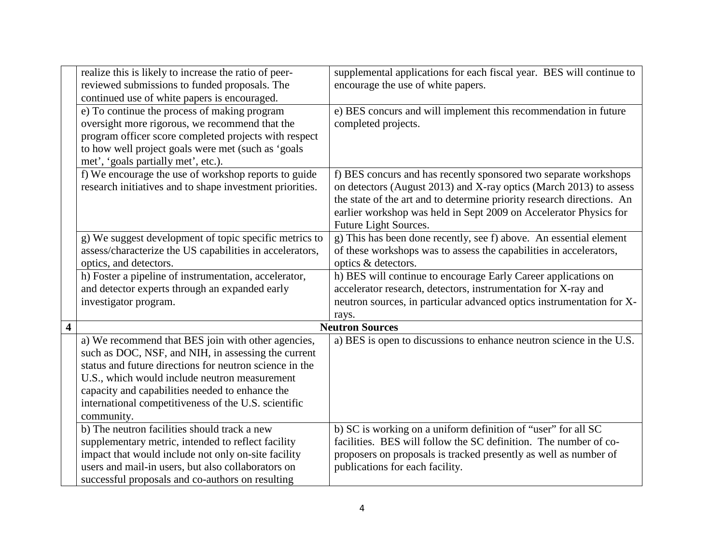|                         | realize this is likely to increase the ratio of peer-    | supplemental applications for each fiscal year. BES will continue to   |
|-------------------------|----------------------------------------------------------|------------------------------------------------------------------------|
|                         | reviewed submissions to funded proposals. The            | encourage the use of white papers.                                     |
|                         | continued use of white papers is encouraged.             |                                                                        |
|                         | e) To continue the process of making program             | e) BES concurs and will implement this recommendation in future        |
|                         | oversight more rigorous, we recommend that the           | completed projects.                                                    |
|                         | program officer score completed projects with respect    |                                                                        |
|                         | to how well project goals were met (such as 'goals       |                                                                        |
|                         | met', 'goals partially met', etc.).                      |                                                                        |
|                         | f) We encourage the use of workshop reports to guide     | f) BES concurs and has recently sponsored two separate workshops       |
|                         | research initiatives and to shape investment priorities. | on detectors (August 2013) and X-ray optics (March 2013) to assess     |
|                         |                                                          | the state of the art and to determine priority research directions. An |
|                         |                                                          | earlier workshop was held in Sept 2009 on Accelerator Physics for      |
|                         |                                                          | Future Light Sources.                                                  |
|                         | g) We suggest development of topic specific metrics to   | g) This has been done recently, see f) above. An essential element     |
|                         | assess/characterize the US capabilities in accelerators, | of these workshops was to assess the capabilities in accelerators,     |
|                         | optics, and detectors.                                   | optics & detectors.                                                    |
|                         | h) Foster a pipeline of instrumentation, accelerator,    | h) BES will continue to encourage Early Career applications on         |
|                         | and detector experts through an expanded early           | accelerator research, detectors, instrumentation for X-ray and         |
|                         | investigator program.                                    | neutron sources, in particular advanced optics instrumentation for X-  |
|                         |                                                          | rays.                                                                  |
| $\overline{\mathbf{4}}$ |                                                          | <b>Neutron Sources</b>                                                 |
|                         | a) We recommend that BES join with other agencies,       | a) BES is open to discussions to enhance neutron science in the U.S.   |
|                         | such as DOC, NSF, and NIH, in assessing the current      |                                                                        |
|                         | status and future directions for neutron science in the  |                                                                        |
|                         | U.S., which would include neutron measurement            |                                                                        |
|                         | capacity and capabilities needed to enhance the          |                                                                        |
|                         | international competitiveness of the U.S. scientific     |                                                                        |
|                         | community.                                               |                                                                        |
|                         | b) The neutron facilities should track a new             | b) SC is working on a uniform definition of "user" for all SC          |
|                         | supplementary metric, intended to reflect facility       | facilities. BES will follow the SC definition. The number of co-       |
|                         | impact that would include not only on-site facility      | proposers on proposals is tracked presently as well as number of       |
|                         | users and mail-in users, but also collaborators on       | publications for each facility.                                        |
|                         | successful proposals and co-authors on resulting         |                                                                        |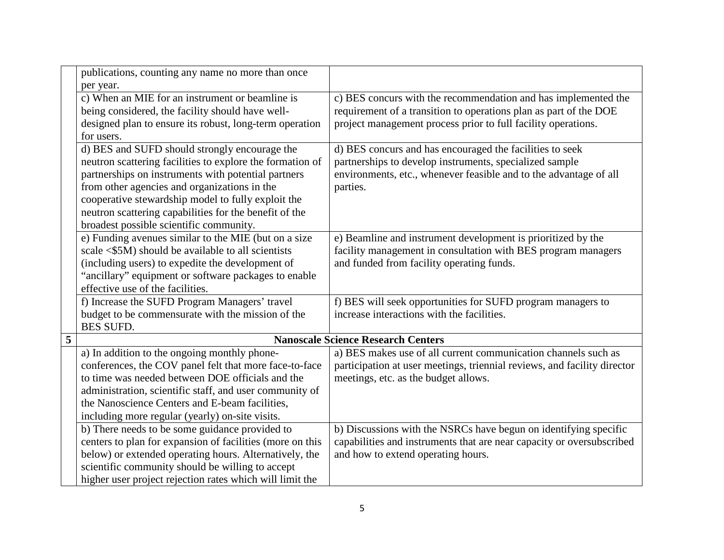|   | publications, counting any name no more than once         |                                                                          |
|---|-----------------------------------------------------------|--------------------------------------------------------------------------|
|   | per year.                                                 |                                                                          |
|   | c) When an MIE for an instrument or beamline is           | c) BES concurs with the recommendation and has implemented the           |
|   | being considered, the facility should have well-          | requirement of a transition to operations plan as part of the DOE        |
|   | designed plan to ensure its robust, long-term operation   | project management process prior to full facility operations.            |
|   | for users.                                                |                                                                          |
|   | d) BES and SUFD should strongly encourage the             | d) BES concurs and has encouraged the facilities to seek                 |
|   | neutron scattering facilities to explore the formation of | partnerships to develop instruments, specialized sample                  |
|   | partnerships on instruments with potential partners       | environments, etc., whenever feasible and to the advantage of all        |
|   | from other agencies and organizations in the              | parties.                                                                 |
|   | cooperative stewardship model to fully exploit the        |                                                                          |
|   | neutron scattering capabilities for the benefit of the    |                                                                          |
|   | broadest possible scientific community.                   |                                                                          |
|   | e) Funding avenues similar to the MIE (but on a size      | e) Beamline and instrument development is prioritized by the             |
|   | scale <\$5M) should be available to all scientists        | facility management in consultation with BES program managers            |
|   | (including users) to expedite the development of          | and funded from facility operating funds.                                |
|   | "ancillary" equipment or software packages to enable      |                                                                          |
|   | effective use of the facilities.                          |                                                                          |
|   | f) Increase the SUFD Program Managers' travel             | f) BES will seek opportunities for SUFD program managers to              |
|   | budget to be commensurate with the mission of the         | increase interactions with the facilities.                               |
|   | <b>BES SUFD.</b>                                          |                                                                          |
| 5 |                                                           | <b>Nanoscale Science Research Centers</b>                                |
|   | a) In addition to the ongoing monthly phone-              | a) BES makes use of all current communication channels such as           |
|   | conferences, the COV panel felt that more face-to-face    | participation at user meetings, triennial reviews, and facility director |
|   | to time was needed between DOE officials and the          | meetings, etc. as the budget allows.                                     |
|   | administration, scientific staff, and user community of   |                                                                          |
|   | the Nanoscience Centers and E-beam facilities,            |                                                                          |
|   | including more regular (yearly) on-site visits.           |                                                                          |
|   | b) There needs to be some guidance provided to            | b) Discussions with the NSRCs have begun on identifying specific         |
|   | centers to plan for expansion of facilities (more on this | capabilities and instruments that are near capacity or oversubscribed    |
|   | below) or extended operating hours. Alternatively, the    | and how to extend operating hours.                                       |
|   | scientific community should be willing to accept          |                                                                          |
|   | higher user project rejection rates which will limit the  |                                                                          |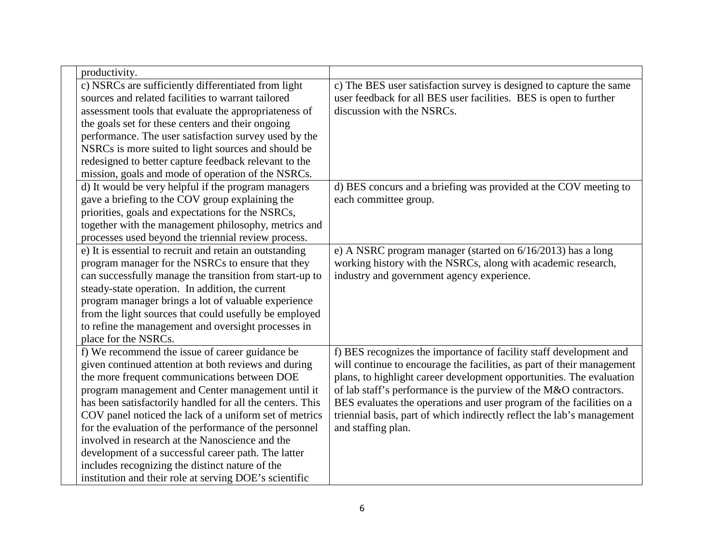| productivity.                                             |                                                                        |
|-----------------------------------------------------------|------------------------------------------------------------------------|
| c) NSRCs are sufficiently differentiated from light       | c) The BES user satisfaction survey is designed to capture the same    |
| sources and related facilities to warrant tailored        | user feedback for all BES user facilities. BES is open to further      |
| assessment tools that evaluate the appropriateness of     | discussion with the NSRCs.                                             |
| the goals set for these centers and their ongoing         |                                                                        |
| performance. The user satisfaction survey used by the     |                                                                        |
| NSRCs is more suited to light sources and should be       |                                                                        |
| redesigned to better capture feedback relevant to the     |                                                                        |
| mission, goals and mode of operation of the NSRCs.        |                                                                        |
| d) It would be very helpful if the program managers       | d) BES concurs and a briefing was provided at the COV meeting to       |
| gave a briefing to the COV group explaining the           | each committee group.                                                  |
| priorities, goals and expectations for the NSRCs,         |                                                                        |
| together with the management philosophy, metrics and      |                                                                        |
| processes used beyond the triennial review process.       |                                                                        |
| e) It is essential to recruit and retain an outstanding   | e) A NSRC program manager (started on 6/16/2013) has a long            |
| program manager for the NSRCs to ensure that they         | working history with the NSRCs, along with academic research,          |
| can successfully manage the transition from start-up to   | industry and government agency experience.                             |
| steady-state operation. In addition, the current          |                                                                        |
| program manager brings a lot of valuable experience       |                                                                        |
| from the light sources that could usefully be employed    |                                                                        |
| to refine the management and oversight processes in       |                                                                        |
| place for the NSRCs.                                      |                                                                        |
| f) We recommend the issue of career guidance be           | f) BES recognizes the importance of facility staff development and     |
| given continued attention at both reviews and during      | will continue to encourage the facilities, as part of their management |
| the more frequent communications between DOE              | plans, to highlight career development opportunities. The evaluation   |
| program management and Center management until it         | of lab staff's performance is the purview of the M&O contractors.      |
| has been satisfactorily handled for all the centers. This | BES evaluates the operations and user program of the facilities on a   |
| COV panel noticed the lack of a uniform set of metrics    | triennial basis, part of which indirectly reflect the lab's management |
| for the evaluation of the performance of the personnel    | and staffing plan.                                                     |
| involved in research at the Nanoscience and the           |                                                                        |
| development of a successful career path. The latter       |                                                                        |
| includes recognizing the distinct nature of the           |                                                                        |
| institution and their role at serving DOE's scientific    |                                                                        |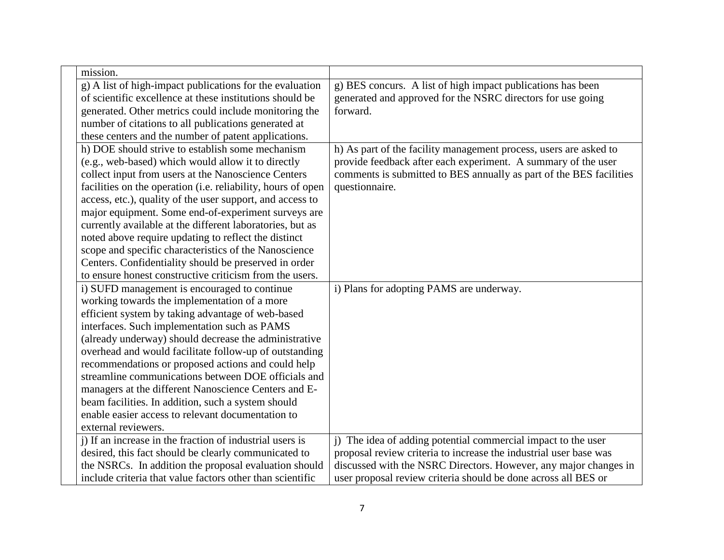| mission.                                                     |                                                                     |
|--------------------------------------------------------------|---------------------------------------------------------------------|
| g) A list of high-impact publications for the evaluation     | g) BES concurs. A list of high impact publications has been         |
| of scientific excellence at these institutions should be     | generated and approved for the NSRC directors for use going         |
| generated. Other metrics could include monitoring the        | forward.                                                            |
| number of citations to all publications generated at         |                                                                     |
| these centers and the number of patent applications.         |                                                                     |
| h) DOE should strive to establish some mechanism             | h) As part of the facility management process, users are asked to   |
| (e.g., web-based) which would allow it to directly           | provide feedback after each experiment. A summary of the user       |
| collect input from users at the Nanoscience Centers          | comments is submitted to BES annually as part of the BES facilities |
| facilities on the operation (i.e. reliability, hours of open | questionnaire.                                                      |
| access, etc.), quality of the user support, and access to    |                                                                     |
| major equipment. Some end-of-experiment surveys are          |                                                                     |
| currently available at the different laboratories, but as    |                                                                     |
| noted above require updating to reflect the distinct         |                                                                     |
| scope and specific characteristics of the Nanoscience        |                                                                     |
| Centers. Confidentiality should be preserved in order        |                                                                     |
| to ensure honest constructive criticism from the users.      |                                                                     |
| i) SUFD management is encouraged to continue                 | i) Plans for adopting PAMS are underway.                            |
| working towards the implementation of a more                 |                                                                     |
| efficient system by taking advantage of web-based            |                                                                     |
| interfaces. Such implementation such as PAMS                 |                                                                     |
| (already underway) should decrease the administrative        |                                                                     |
| overhead and would facilitate follow-up of outstanding       |                                                                     |
| recommendations or proposed actions and could help           |                                                                     |
| streamline communications between DOE officials and          |                                                                     |
| managers at the different Nanoscience Centers and E-         |                                                                     |
| beam facilities. In addition, such a system should           |                                                                     |
| enable easier access to relevant documentation to            |                                                                     |
| external reviewers.                                          |                                                                     |
| j) If an increase in the fraction of industrial users is     | j) The idea of adding potential commercial impact to the user       |
| desired, this fact should be clearly communicated to         | proposal review criteria to increase the industrial user base was   |
| the NSRCs. In addition the proposal evaluation should        | discussed with the NSRC Directors. However, any major changes in    |
| include criteria that value factors other than scientific    | user proposal review criteria should be done across all BES or      |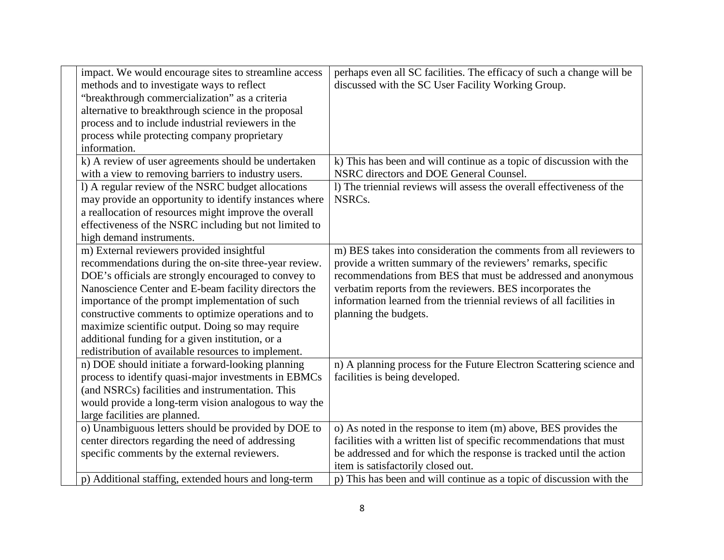| impact. We would encourage sites to streamline access  | perhaps even all SC facilities. The efficacy of such a change will be |
|--------------------------------------------------------|-----------------------------------------------------------------------|
| methods and to investigate ways to reflect             | discussed with the SC User Facility Working Group.                    |
| "breakthrough commercialization" as a criteria         |                                                                       |
| alternative to breakthrough science in the proposal    |                                                                       |
| process and to include industrial reviewers in the     |                                                                       |
| process while protecting company proprietary           |                                                                       |
| information.                                           |                                                                       |
| k) A review of user agreements should be undertaken    | k) This has been and will continue as a topic of discussion with the  |
| with a view to removing barriers to industry users.    | NSRC directors and DOE General Counsel.                               |
| I) A regular review of the NSRC budget allocations     | 1) The triennial reviews will assess the overall effectiveness of the |
| may provide an opportunity to identify instances where | NSRC <sub>s</sub> .                                                   |
| a reallocation of resources might improve the overall  |                                                                       |
| effectiveness of the NSRC including but not limited to |                                                                       |
| high demand instruments.                               |                                                                       |
| m) External reviewers provided insightful              | m) BES takes into consideration the comments from all reviewers to    |
| recommendations during the on-site three-year review.  | provide a written summary of the reviewers' remarks, specific         |
| DOE's officials are strongly encouraged to convey to   | recommendations from BES that must be addressed and anonymous         |
| Nanoscience Center and E-beam facility directors the   | verbatim reports from the reviewers. BES incorporates the             |
| importance of the prompt implementation of such        | information learned from the triennial reviews of all facilities in   |
| constructive comments to optimize operations and to    | planning the budgets.                                                 |
| maximize scientific output. Doing so may require       |                                                                       |
| additional funding for a given institution, or a       |                                                                       |
| redistribution of available resources to implement.    |                                                                       |
|                                                        |                                                                       |
| n) DOE should initiate a forward-looking planning      | n) A planning process for the Future Electron Scattering science and  |
| process to identify quasi-major investments in EBMCs   | facilities is being developed.                                        |
| (and NSRCs) facilities and instrumentation. This       |                                                                       |
| would provide a long-term vision analogous to way the  |                                                                       |
| large facilities are planned.                          |                                                                       |
| o) Unambiguous letters should be provided by DOE to    | o) As noted in the response to item (m) above, BES provides the       |
| center directors regarding the need of addressing      | facilities with a written list of specific recommendations that must  |
| specific comments by the external reviewers.           | be addressed and for which the response is tracked until the action   |
|                                                        | item is satisfactorily closed out.                                    |
| p) Additional staffing, extended hours and long-term   | p) This has been and will continue as a topic of discussion with the  |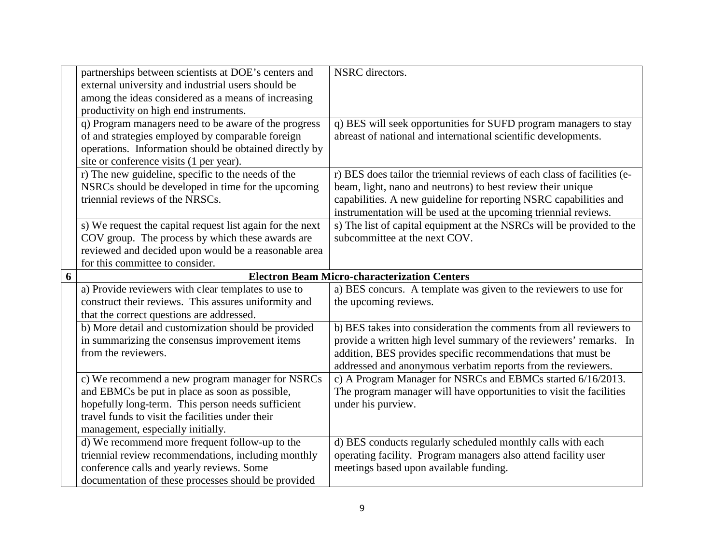|   | partnerships between scientists at DOE's centers and                                             | NSRC directors.                                                          |
|---|--------------------------------------------------------------------------------------------------|--------------------------------------------------------------------------|
|   | external university and industrial users should be                                               |                                                                          |
|   | among the ideas considered as a means of increasing                                              |                                                                          |
|   | productivity on high end instruments.                                                            |                                                                          |
|   | q) Program managers need to be aware of the progress                                             | q) BES will seek opportunities for SUFD program managers to stay         |
|   | of and strategies employed by comparable foreign                                                 | abreast of national and international scientific developments.           |
|   | operations. Information should be obtained directly by                                           |                                                                          |
|   | site or conference visits (1 per year).                                                          |                                                                          |
|   | r) The new guideline, specific to the needs of the                                               | r) BES does tailor the triennial reviews of each class of facilities (e- |
|   | NSRCs should be developed in time for the upcoming                                               | beam, light, nano and neutrons) to best review their unique              |
|   | triennial reviews of the NRSCs.                                                                  | capabilities. A new guideline for reporting NSRC capabilities and        |
|   |                                                                                                  | instrumentation will be used at the upcoming triennial reviews.          |
|   | s) We request the capital request list again for the next                                        | s) The list of capital equipment at the NSRCs will be provided to the    |
|   | COV group. The process by which these awards are                                                 | subcommittee at the next COV.                                            |
|   | reviewed and decided upon would be a reasonable area                                             |                                                                          |
|   | for this committee to consider.                                                                  |                                                                          |
| 6 |                                                                                                  | <b>Electron Beam Micro-characterization Centers</b>                      |
|   | a) Provide reviewers with clear templates to use to                                              | a) BES concurs. A template was given to the reviewers to use for         |
|   | construct their reviews. This assures uniformity and                                             | the upcoming reviews.                                                    |
|   | that the correct questions are addressed.                                                        |                                                                          |
|   | b) More detail and customization should be provided                                              | b) BES takes into consideration the comments from all reviewers to       |
|   | in summarizing the consensus improvement items                                                   | provide a written high level summary of the reviewers' remarks. In       |
|   | from the reviewers.                                                                              | addition, BES provides specific recommendations that must be             |
|   |                                                                                                  | addressed and anonymous verbatim reports from the reviewers.             |
|   | c) We recommend a new program manager for NSRCs                                                  | c) A Program Manager for NSRCs and EBMCs started 6/16/2013.              |
|   | and EBMCs be put in place as soon as possible,                                                   | The program manager will have opportunities to visit the facilities      |
|   | hopefully long-term. This person needs sufficient                                                | under his purview.                                                       |
|   | travel funds to visit the facilities under their                                                 |                                                                          |
|   | management, especially initially.                                                                |                                                                          |
|   | d) We recommend more frequent follow-up to the                                                   | d) BES conducts regularly scheduled monthly calls with each              |
|   | triennial review recommendations, including monthly                                              | operating facility. Program managers also attend facility user           |
|   | conference calls and yearly reviews. Some<br>documentation of these processes should be provided | meetings based upon available funding.                                   |
|   |                                                                                                  |                                                                          |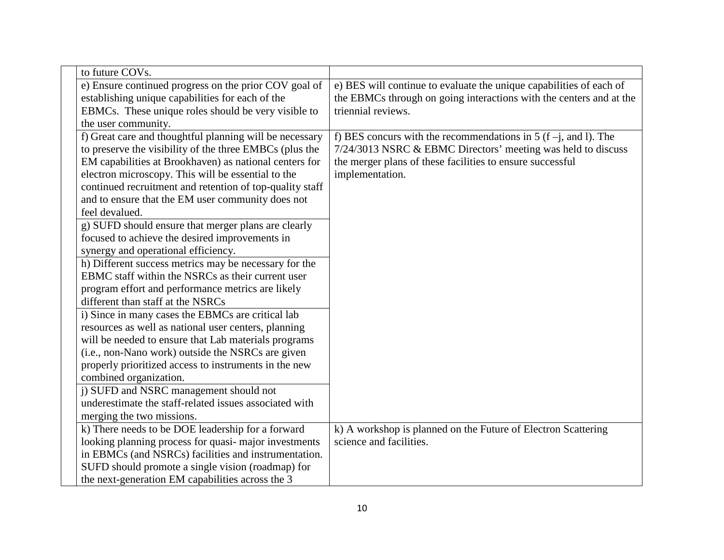| to future COVs.                                          |                                                                     |
|----------------------------------------------------------|---------------------------------------------------------------------|
| e) Ensure continued progress on the prior COV goal of    | e) BES will continue to evaluate the unique capabilities of each of |
| establishing unique capabilities for each of the         | the EBMCs through on going interactions with the centers and at the |
| EBMCs. These unique roles should be very visible to      | triennial reviews.                                                  |
| the user community.                                      |                                                                     |
| f) Great care and thoughtful planning will be necessary  | f) BES concurs with the recommendations in 5 (f $-j$ , and l). The  |
| to preserve the visibility of the three EMBCs (plus the  | 7/24/3013 NSRC & EBMC Directors' meeting was held to discuss        |
| EM capabilities at Brookhaven) as national centers for   | the merger plans of these facilities to ensure successful           |
| electron microscopy. This will be essential to the       | implementation.                                                     |
| continued recruitment and retention of top-quality staff |                                                                     |
| and to ensure that the EM user community does not        |                                                                     |
| feel devalued.                                           |                                                                     |
| g) SUFD should ensure that merger plans are clearly      |                                                                     |
| focused to achieve the desired improvements in           |                                                                     |
| synergy and operational efficiency.                      |                                                                     |
| h) Different success metrics may be necessary for the    |                                                                     |
| EBMC staff within the NSRCs as their current user        |                                                                     |
| program effort and performance metrics are likely        |                                                                     |
| different than staff at the NSRCs                        |                                                                     |
| i) Since in many cases the EBMCs are critical lab        |                                                                     |
| resources as well as national user centers, planning     |                                                                     |
| will be needed to ensure that Lab materials programs     |                                                                     |
| (i.e., non-Nano work) outside the NSRCs are given        |                                                                     |
| properly prioritized access to instruments in the new    |                                                                     |
| combined organization.                                   |                                                                     |
| j) SUFD and NSRC management should not                   |                                                                     |
| underestimate the staff-related issues associated with   |                                                                     |
| merging the two missions.                                |                                                                     |
| k) There needs to be DOE leadership for a forward        | k) A workshop is planned on the Future of Electron Scattering       |
| looking planning process for quasi-major investments     | science and facilities.                                             |
| in EBMCs (and NSRCs) facilities and instrumentation.     |                                                                     |
| SUFD should promote a single vision (roadmap) for        |                                                                     |
| the next-generation EM capabilities across the 3         |                                                                     |